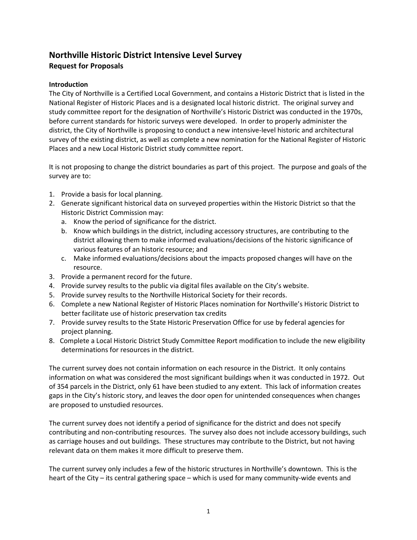# **Northville Historic District Intensive Level Survey Request for Proposals**

## **Introduction**

The City of Northville is a Certified Local Government, and contains a Historic District that is listed in the National Register of Historic Places and is a designated local historic district. The original survey and study committee report for the designation of Northville's Historic District was conducted in the 1970s, before current standards for historic surveys were developed. In order to properly administer the district, the City of Northville is proposing to conduct a new intensive-level historic and architectural survey of the existing district, as well as complete a new nomination for the National Register of Historic Places and a new Local Historic District study committee report.

It is not proposing to change the district boundaries as part of this project. The purpose and goals of the survey are to:

- 1. Provide a basis for local planning.
- 2. Generate significant historical data on surveyed properties within the Historic District so that the Historic District Commission may:
	- a. Know the period of significance for the district.
	- b. Know which buildings in the district, including accessory structures, are contributing to the district allowing them to make informed evaluations/decisions of the historic significance of various features of an historic resource; and
	- c. Make informed evaluations/decisions about the impacts proposed changes will have on the resource.
- 3. Provide a permanent record for the future.
- 4. Provide survey results to the public via digital files available on the City's website.
- 5. Provide survey results to the Northville Historical Society for their records.
- 6. Complete a new National Register of Historic Places nomination for Northville's Historic District to better facilitate use of historic preservation tax credits
- 7. Provide survey results to the State Historic Preservation Office for use by federal agencies for project planning.
- 8. Complete a Local Historic District Study Committee Report modification to include the new eligibility determinations for resources in the district.

The current survey does not contain information on each resource in the District. It only contains information on what was considered the most significant buildings when it was conducted in 1972. Out of 354 parcels in the District, only 61 have been studied to any extent. This lack of information creates gaps in the City's historic story, and leaves the door open for unintended consequences when changes are proposed to unstudied resources.

The current survey does not identify a period of significance for the district and does not specify contributing and non-contributing resources. The survey also does not include accessory buildings, such as carriage houses and out buildings. These structures may contribute to the District, but not having relevant data on them makes it more difficult to preserve them.

The current survey only includes a few of the historic structures in Northville's downtown. This is the heart of the City – its central gathering space – which is used for many community-wide events and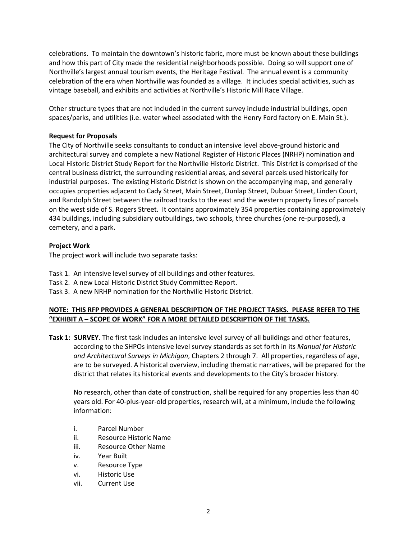celebrations. To maintain the downtown's historic fabric, more must be known about these buildings and how this part of City made the residential neighborhoods possible. Doing so will support one of Northville's largest annual tourism events, the Heritage Festival. The annual event is a community celebration of the era when Northville was founded as a village. It includes special activities, such as vintage baseball, and exhibits and activities at Northville's Historic Mill Race Village.

Other structure types that are not included in the current survey include industrial buildings, open spaces/parks, and utilities (i.e. water wheel associated with the Henry Ford factory on E. Main St.).

## **Request for Proposals**

The City of Northville seeks consultants to conduct an intensive level above-ground historic and architectural survey and complete a new National Register of Historic Places (NRHP) nomination and Local Historic District Study Report for the Northville Historic District. This District is comprised of the central business district, the surrounding residential areas, and several parcels used historically for industrial purposes. The existing Historic District is shown on the accompanying map, and generally occupies properties adjacent to Cady Street, Main Street, Dunlap Street, Dubuar Street, Linden Court, and Randolph Street between the railroad tracks to the east and the western property lines of parcels on the west side of S. Rogers Street. It contains approximately 354 properties containing approximately 434 buildings, including subsidiary outbuildings, two schools, three churches (one re-purposed), a cemetery, and a park.

#### **Project Work**

The project work will include two separate tasks:

- Task 1. An intensive level survey of all buildings and other features.
- Task 2. A new Local Historic District Study Committee Report.
- Task 3. A new NRHP nomination for the Northville Historic District.

## **NOTE: THIS RFP PROVIDES A GENERAL DESCRIPTION OF THE PROJECT TASKS. PLEASE REFER TO THE "EXHIBIT A – SCOPE OF WORK" FOR A MORE DETAILED DESCRIPTION OF THE TASKS.**

**Task 1: SURVEY**. The first task includes an intensive level survey of all buildings and other features, according to the SHPOs intensive level survey standards as set forth in its *Manual for Historic and Architectural Surveys in Michigan*, Chapters 2 through 7. All properties, regardless of age, are to be surveyed. A historical overview, including thematic narratives, will be prepared for the district that relates its historical events and developments to the City's broader history.

No research, other than date of construction, shall be required for any properties less than 40 years old. For 40-plus-year-old properties, research will, at a minimum, include the following information:

- i. Parcel Number
- ii. Resource Historic Name
- iii. Resource Other Name
- iv. Year Built
- v. Resource Type
- vi. Historic Use
- vii. Current Use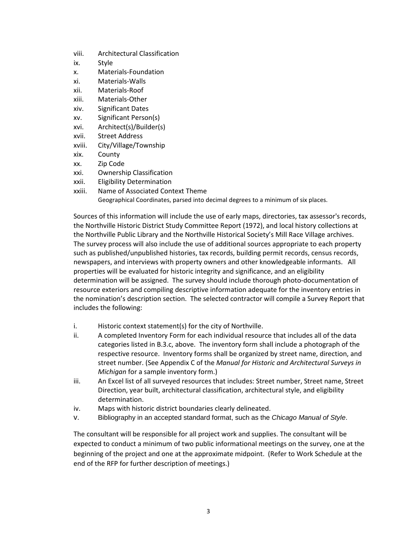- viii. Architectural Classification
- ix. Style
- x. Materials-Foundation
- xi. Materials-Walls
- xii. Materials-Roof
- xiii. Materials-Other
- xiv. Significant Dates
- xv. Significant Person(s)
- xvi. Architect(s)/Builder(s)
- xvii. Street Address
- xviii. City/Village/Township
- xix. County
- xx. Zip Code
- xxi. Ownership Classification
- xxii. Eligibility Determination
- xxiii. Name of Associated Context Theme

Geographical Coordinates, parsed into decimal degrees to a minimum of six places.

Sources of this information will include the use of early maps, directories, tax assessor's records, the Northville Historic District Study Committee Report (1972), and local history collections at the Northville Public Library and the Northville Historical Society's Mill Race Village archives. The survey process will also include the use of additional sources appropriate to each property such as published/unpublished histories, tax records, building permit records, census records, newspapers, and interviews with property owners and other knowledgeable informants. All properties will be evaluated for historic integrity and significance, and an eligibility determination will be assigned. The survey should include thorough photo-documentation of resource exteriors and compiling descriptive information adequate for the inventory entries in the nomination's description section. The selected contractor will compile a Survey Report that includes the following:

- i. Historic context statement(s) for the city of Northville.
- ii. A completed Inventory Form for each individual resource that includes all of the data categories listed in B.3.c, above. The inventory form shall include a photograph of the respective resource. Inventory forms shall be organized by street name, direction, and street number. (See Appendix C of the *Manual for Historic and Architectural Surveys in Michigan* for a sample inventory form.)
- iii. An Excel list of all surveyed resources that includes: Street number, Street name, Street Direction, year built, architectural classification, architectural style, and eligibility determination.
- iv. Maps with historic district boundaries clearly delineated.
- v. Bibliography in an accepted standard format, such as the *Chicago Manual of Style*.

The consultant will be responsible for all project work and supplies. The consultant will be expected to conduct a minimum of two public informational meetings on the survey, one at the beginning of the project and one at the approximate midpoint. (Refer to Work Schedule at the end of the RFP for further description of meetings.)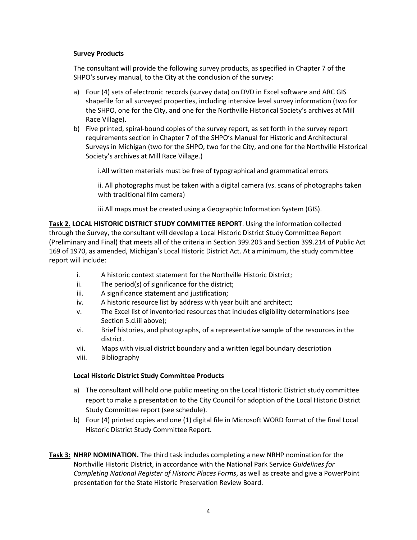## **Survey Products**

The consultant will provide the following survey products, as specified in Chapter 7 of the SHPO's survey manual, to the City at the conclusion of the survey:

- a) Four (4) sets of electronic records (survey data) on DVD in Excel software and ARC GIS shapefile for all surveyed properties, including intensive level survey information (two for the SHPO, one for the City, and one for the Northville Historical Society's archives at Mill Race Village).
- b) Five printed, spiral-bound copies of the survey report, as set forth in the survey report requirements section in Chapter 7 of the SHPO's Manual for Historic and Architectural Surveys in Michigan (two for the SHPO, two for the City, and one for the Northville Historical Society's archives at Mill Race Village.)

i.All written materials must be free of typographical and grammatical errors

ii. All photographs must be taken with a digital camera (vs. scans of photographs taken with traditional film camera)

iii.All maps must be created using a Geographic Information System (GIS).

**Task 2. LOCAL HISTORIC DISTRICT STUDY COMMITTEE REPORT**. Using the information collected through the Survey, the consultant will develop a Local Historic District Study Committee Report (Preliminary and Final) that meets all of the criteria in Section 399.203 and Section 399.214 of Public Act 169 of 1970, as amended, Michigan's Local Historic District Act. At a minimum, the study committee report will include:

- i. A historic context statement for the Northville Historic District;
- ii. The period(s) of significance for the district;
- iii. A significance statement and justification;
- iv. A historic resource list by address with year built and architect;
- v. The Excel list of inventoried resources that includes eligibility determinations (see Section 5.d.iii above);
- vi. Brief histories, and photographs, of a representative sample of the resources in the district.
- vii. Maps with visual district boundary and a written legal boundary description
- viii. Bibliography

## **Local Historic District Study Committee Products**

- a) The consultant will hold one public meeting on the Local Historic District study committee report to make a presentation to the City Council for adoption of the Local Historic District Study Committee report (see schedule).
- b) Four (4) printed copies and one (1) digital file in Microsoft WORD format of the final Local Historic District Study Committee Report.
- **Task 3: NHRP NOMINATION.** The third task includes completing a new NRHP nomination for the Northville Historic District, in accordance with the National Park Service *Guidelines for Completing National Register of Historic Places Forms*, as well as create and give a PowerPoint presentation for the State Historic Preservation Review Board.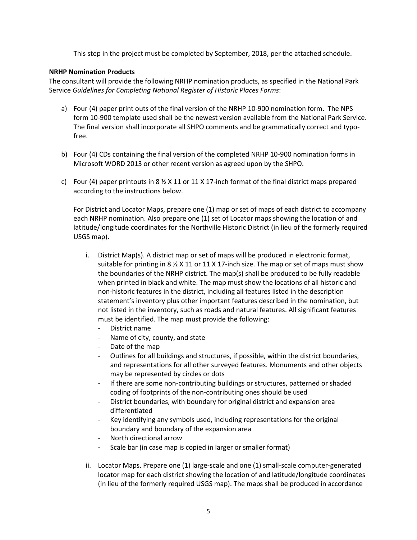This step in the project must be completed by September, 2018, per the attached schedule.

#### **NRHP Nomination Products**

The consultant will provide the following NRHP nomination products, as specified in the National Park Service *Guidelines for Completing National Register of Historic Places Forms*:

- a) Four (4) paper print outs of the final version of the NRHP 10-900 nomination form. The NPS form 10-900 template used shall be the newest version available from the National Park Service. The final version shall incorporate all SHPO comments and be grammatically correct and typofree.
- b) Four (4) CDs containing the final version of the completed NRHP 10-900 nomination forms in Microsoft WORD 2013 or other recent version as agreed upon by the SHPO.
- c) Four (4) paper printouts in 8  $\frac{1}{2}$  X 11 or 11 X 17-inch format of the final district maps prepared according to the instructions below.

For District and Locator Maps, prepare one (1) map or set of maps of each district to accompany each NRHP nomination. Also prepare one (1) set of Locator maps showing the location of and latitude/longitude coordinates for the Northville Historic District (in lieu of the formerly required USGS map).

- i. District Map(s). A district map or set of maps will be produced in electronic format, suitable for printing in 8  $\frac{1}{2}$  X 11 or 11 X 17-inch size. The map or set of maps must show the boundaries of the NRHP district. The map(s) shall be produced to be fully readable when printed in black and white. The map must show the locations of all historic and non-historic features in the district, including all features listed in the description statement's inventory plus other important features described in the nomination, but not listed in the inventory, such as roads and natural features. All significant features must be identified. The map must provide the following:
	- District name
	- Name of city, county, and state
	- Date of the map
	- Outlines for all buildings and structures, if possible, within the district boundaries, and representations for all other surveyed features. Monuments and other objects may be represented by circles or dots
	- If there are some non-contributing buildings or structures, patterned or shaded coding of footprints of the non-contributing ones should be used
	- District boundaries, with boundary for original district and expansion area differentiated
	- Key identifying any symbols used, including representations for the original boundary and boundary of the expansion area
	- North directional arrow
	- Scale bar (in case map is copied in larger or smaller format)
- ii. Locator Maps. Prepare one (1) large-scale and one (1) small-scale computer-generated locator map for each district showing the location of and latitude/longitude coordinates (in lieu of the formerly required USGS map). The maps shall be produced in accordance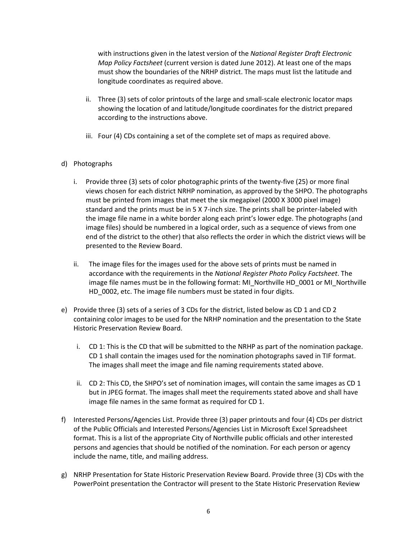with instructions given in the latest version of the *National Register Draft Electronic Map Policy Factsheet* (current version is dated June 2012). At least one of the maps must show the boundaries of the NRHP district. The maps must list the latitude and longitude coordinates as required above.

- ii. Three (3) sets of color printouts of the large and small-scale electronic locator maps showing the location of and latitude/longitude coordinates for the district prepared according to the instructions above.
- iii. Four (4) CDs containing a set of the complete set of maps as required above.

## d) Photographs

- i. Provide three (3) sets of color photographic prints of the twenty-five (25) or more final views chosen for each district NRHP nomination, as approved by the SHPO. The photographs must be printed from images that meet the six megapixel (2000 X 3000 pixel image) standard and the prints must be in 5 X 7-inch size. The prints shall be printer-labeled with the image file name in a white border along each print's lower edge. The photographs (and image files) should be numbered in a logical order, such as a sequence of views from one end of the district to the other) that also reflects the order in which the district views will be presented to the Review Board.
- ii. The image files for the images used for the above sets of prints must be named in accordance with the requirements in the *National Register Photo Policy Factsheet*. The image file names must be in the following format: MI\_Northville HD\_0001 or MI\_Northville HD\_0002, etc. The image file numbers must be stated in four digits.
- e) Provide three (3) sets of a series of 3 CDs for the district, listed below as CD 1 and CD 2 containing color images to be used for the NRHP nomination and the presentation to the State Historic Preservation Review Board.
	- i. CD 1: This is the CD that will be submitted to the NRHP as part of the nomination package. CD 1 shall contain the images used for the nomination photographs saved in TIF format. The images shall meet the image and file naming requirements stated above.
	- ii. CD 2: This CD, the SHPO's set of nomination images, will contain the same images as CD 1 but in JPEG format. The images shall meet the requirements stated above and shall have image file names in the same format as required for CD 1.
- f) Interested Persons/Agencies List. Provide three (3) paper printouts and four (4) CDs per district of the Public Officials and Interested Persons/Agencies List in Microsoft Excel Spreadsheet format. This is a list of the appropriate City of Northville public officials and other interested persons and agencies that should be notified of the nomination. For each person or agency include the name, title, and mailing address.
- g) NRHP Presentation for State Historic Preservation Review Board. Provide three (3) CDs with the PowerPoint presentation the Contractor will present to the State Historic Preservation Review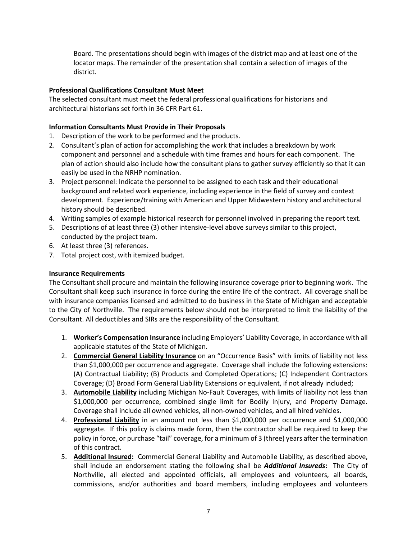Board. The presentations should begin with images of the district map and at least one of the locator maps. The remainder of the presentation shall contain a selection of images of the district.

## **Professional Qualifications Consultant Must Meet**

The selected consultant must meet the federal professional qualifications for historians and architectural historians set forth in 36 CFR Part 61.

## **Information Consultants Must Provide in Their Proposals**

- 1. Description of the work to be performed and the products.
- 2. Consultant's plan of action for accomplishing the work that includes a breakdown by work component and personnel and a schedule with time frames and hours for each component. The plan of action should also include how the consultant plans to gather survey efficiently so that it can easily be used in the NRHP nomination.
- 3. Project personnel: Indicate the personnel to be assigned to each task and their educational background and related work experience, including experience in the field of survey and context development. Experience/training with American and Upper Midwestern history and architectural history should be described.
- 4. Writing samples of example historical research for personnel involved in preparing the report text.
- 5. Descriptions of at least three (3) other intensive-level above surveys similar to this project, conducted by the project team.
- 6. At least three (3) references.
- 7. Total project cost, with itemized budget.

## **Insurance Requirements**

The Consultant shall procure and maintain the following insurance coverage prior to beginning work. The Consultant shall keep such insurance in force during the entire life of the contract. All coverage shall be with insurance companies licensed and admitted to do business in the State of Michigan and acceptable to the City of Northville. The requirements below should not be interpreted to limit the liability of the Consultant. All deductibles and SIRs are the responsibility of the Consultant.

- 1. **Worker's Compensation Insurance** including Employers' Liability Coverage, in accordance with all applicable statutes of the State of Michigan.
- 2. **Commercial General Liability Insurance** on an "Occurrence Basis" with limits of liability not less than \$1,000,000 per occurrence and aggregate. Coverage shall include the following extensions: (A) Contractual Liability; (B) Products and Completed Operations; (C) Independent Contractors Coverage; (D) Broad Form General Liability Extensions or equivalent, if not already included;
- 3. **Automobile Liability** including Michigan No-Fault Coverages, with limits of liability not less than \$1,000,000 per occurrence, combined single limit for Bodily Injury, and Property Damage. Coverage shall include all owned vehicles, all non-owned vehicles, and all hired vehicles.
- 4. **Professional Liability** in an amount not less than \$1,000,000 per occurrence and \$1,000,000 aggregate. If this policy is claims made form, then the contractor shall be required to keep the policy in force, or purchase "tail" coverage, for a minimum of 3 (three) years after the termination of this contract.
- 5. **Additional Insured:** Commercial General Liability and Automobile Liability, as described above, shall include an endorsement stating the following shall be *Additional Insureds***:** The City of Northville, all elected and appointed officials, all employees and volunteers, all boards, commissions, and/or authorities and board members, including employees and volunteers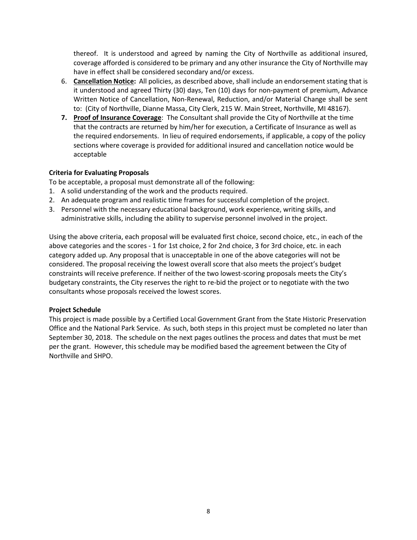thereof. It is understood and agreed by naming the City of Northville as additional insured, coverage afforded is considered to be primary and any other insurance the City of Northville may have in effect shall be considered secondary and/or excess.

- 6. **Cancellation Notice:** All policies, as described above, shall include an endorsement stating that is it understood and agreed Thirty (30) days, Ten (10) days for non-payment of premium, Advance Written Notice of Cancellation, Non-Renewal, Reduction, and/or Material Change shall be sent to: (City of Northville, Dianne Massa, City Clerk, 215 W. Main Street, Northville, MI 48167).
- **7. Proof of Insurance Coverage**: The Consultant shall provide the City of Northville at the time that the contracts are returned by him/her for execution, a Certificate of Insurance as well as the required endorsements. In lieu of required endorsements, if applicable, a copy of the policy sections where coverage is provided for additional insured and cancellation notice would be acceptable

## **Criteria for Evaluating Proposals**

To be acceptable, a proposal must demonstrate all of the following:

- 1. A solid understanding of the work and the products required.
- 2. An adequate program and realistic time frames for successful completion of the project.
- 3. Personnel with the necessary educational background, work experience, writing skills, and administrative skills, including the ability to supervise personnel involved in the project.

Using the above criteria, each proposal will be evaluated first choice, second choice, etc., in each of the above categories and the scores - 1 for 1st choice, 2 for 2nd choice, 3 for 3rd choice, etc. in each category added up. Any proposal that is unacceptable in one of the above categories will not be considered. The proposal receiving the lowest overall score that also meets the project's budget constraints will receive preference. If neither of the two lowest-scoring proposals meets the City's budgetary constraints, the City reserves the right to re-bid the project or to negotiate with the two consultants whose proposals received the lowest scores.

## **Project Schedule**

This project is made possible by a Certified Local Government Grant from the State Historic Preservation Office and the National Park Service.As such, both steps in this project must be completed no later than September 30, 2018. The schedule on the next pages outlines the process and dates that must be met per the grant. However, this schedule may be modified based the agreement between the City of Northville and SHPO.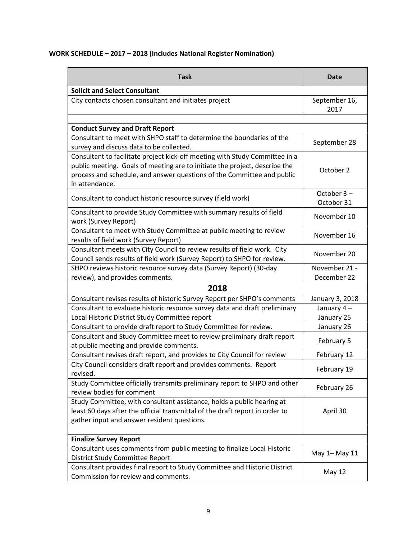## **WORK SCHEDULE – 2017 – 2018 (Includes National Register Nomination)**

| <b>Task</b>                                                                                                                                                                                                                                           | <b>Date</b>              |  |
|-------------------------------------------------------------------------------------------------------------------------------------------------------------------------------------------------------------------------------------------------------|--------------------------|--|
| <b>Solicit and Select Consultant</b>                                                                                                                                                                                                                  |                          |  |
| City contacts chosen consultant and initiates project                                                                                                                                                                                                 | September 16,<br>2017    |  |
|                                                                                                                                                                                                                                                       |                          |  |
| <b>Conduct Survey and Draft Report</b>                                                                                                                                                                                                                |                          |  |
| Consultant to meet with SHPO staff to determine the boundaries of the<br>survey and discuss data to be collected.                                                                                                                                     | September 28             |  |
| Consultant to facilitate project kick-off meeting with Study Committee in a<br>public meeting. Goals of meeting are to initiate the project, describe the<br>process and schedule, and answer questions of the Committee and public<br>in attendance. | October 2                |  |
| Consultant to conduct historic resource survey (field work)                                                                                                                                                                                           | October 3-<br>October 31 |  |
| Consultant to provide Study Committee with summary results of field<br>work (Survey Report)                                                                                                                                                           | November 10              |  |
| Consultant to meet with Study Committee at public meeting to review<br>results of field work (Survey Report)                                                                                                                                          | November 16              |  |
| Consultant meets with City Council to review results of field work. City<br>Council sends results of field work (Survey Report) to SHPO for review.                                                                                                   | November 20              |  |
| SHPO reviews historic resource survey data (Survey Report) (30-day                                                                                                                                                                                    | November 21 -            |  |
| review), and provides comments.                                                                                                                                                                                                                       | December 22              |  |
| 2018                                                                                                                                                                                                                                                  |                          |  |
| Consultant revises results of historic Survey Report per SHPO's comments                                                                                                                                                                              | January 3, 2018          |  |
| Consultant to evaluate historic resource survey data and draft preliminary                                                                                                                                                                            | January 4-               |  |
| Local Historic District Study Committee report                                                                                                                                                                                                        | January 25               |  |
| Consultant to provide draft report to Study Committee for review.                                                                                                                                                                                     | January 26               |  |
| Consultant and Study Committee meet to review preliminary draft report<br>at public meeting and provide comments.                                                                                                                                     | February 5               |  |
| Consultant revises draft report, and provides to City Council for review                                                                                                                                                                              | February 12              |  |
| City Council considers draft report and provides comments. Report<br>revised.                                                                                                                                                                         | February 19              |  |
| Study Committee officially transmits preliminary report to SHPO and other<br>review bodies for comment                                                                                                                                                | February 26              |  |
| Study Committee, with consultant assistance, holds a public hearing at<br>least 60 days after the official transmittal of the draft report in order to<br>gather input and answer resident questions.                                                 | April 30                 |  |
|                                                                                                                                                                                                                                                       |                          |  |
| <b>Finalize Survey Report</b>                                                                                                                                                                                                                         |                          |  |
| Consultant uses comments from public meeting to finalize Local Historic<br><b>District Study Committee Report</b>                                                                                                                                     | May 1- May 11            |  |
| Consultant provides final report to Study Committee and Historic District<br>Commission for review and comments.                                                                                                                                      | May 12                   |  |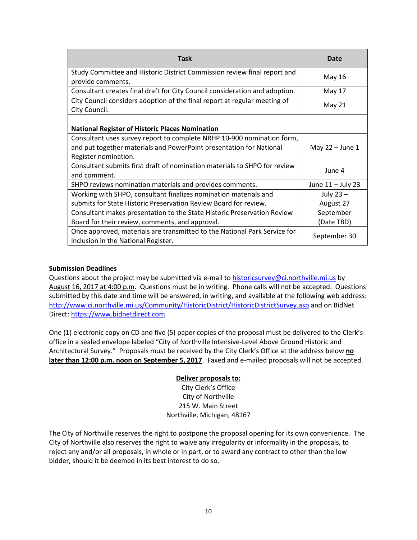| <b>Task</b>                                                                                                                                                           | Date              |
|-----------------------------------------------------------------------------------------------------------------------------------------------------------------------|-------------------|
| Study Committee and Historic District Commission review final report and<br>provide comments.                                                                         | May 16            |
| Consultant creates final draft for City Council consideration and adoption.                                                                                           | May 17            |
| City Council considers adoption of the final report at regular meeting of<br>City Council.                                                                            | May 21            |
|                                                                                                                                                                       |                   |
| <b>National Register of Historic Places Nomination</b>                                                                                                                |                   |
| Consultant uses survey report to complete NRHP 10-900 nomination form,<br>and put together materials and PowerPoint presentation for National<br>Register nomination. | May $22 -$ June 1 |
| Consultant submits first draft of nomination materials to SHPO for review<br>and comment.                                                                             | June 4            |
| SHPO reviews nomination materials and provides comments.                                                                                                              | June 11 - July 23 |
| Working with SHPO, consultant finalizes nomination materials and                                                                                                      | July $23 -$       |
| submits for State Historic Preservation Review Board for review.                                                                                                      | August 27         |
| Consultant makes presentation to the State Historic Preservation Review                                                                                               | September         |
| Board for their review, comments, and approval.                                                                                                                       | (Date TBD)        |
| Once approved, materials are transmitted to the National Park Service for<br>inclusion in the National Register.                                                      | September 30      |

## **Submission Deadlines**

Questions about the project may be submitted via e-mail to [historicsurvey@ci.northville.mi.us](mailto:historicsurvey@ci.northville.mi.us) by August 16, 2017 at 4:00 p.m. Questions must be in writing. Phone calls will not be accepted. Questions submitted by this date and time will be answered, in writing, and available at the following web address: <http://www.ci.northville.mi.us/Community/HistoricDistrict/HistoricDistrictSurvey.asp> and on BidNet Direct: [https://www.bidnetdirect.com.](https://www.bidnetdirect.com/)

One (1) electronic copy on CD and five (5) paper copies of the proposal must be delivered to the Clerk's office in a sealed envelope labeled "City of Northville Intensive-Level Above Ground Historic and Architectural Survey." Proposals must be received by the City Clerk's Office at the address below **no later than 12:00 p.m. noon on September 5, 2017**. Faxed and e-mailed proposals will not be accepted.

## **Deliver proposals to:**

City Clerk's Office City of Northville 215 W. Main Street Northville, Michigan, 48167

The City of Northville reserves the right to postpone the proposal opening for its own convenience. The City of Northville also reserves the right to waive any irregularity or informality in the proposals, to reject any and/or all proposals, in whole or in part, or to award any contract to other than the low bidder, should it be deemed in its best interest to do so.